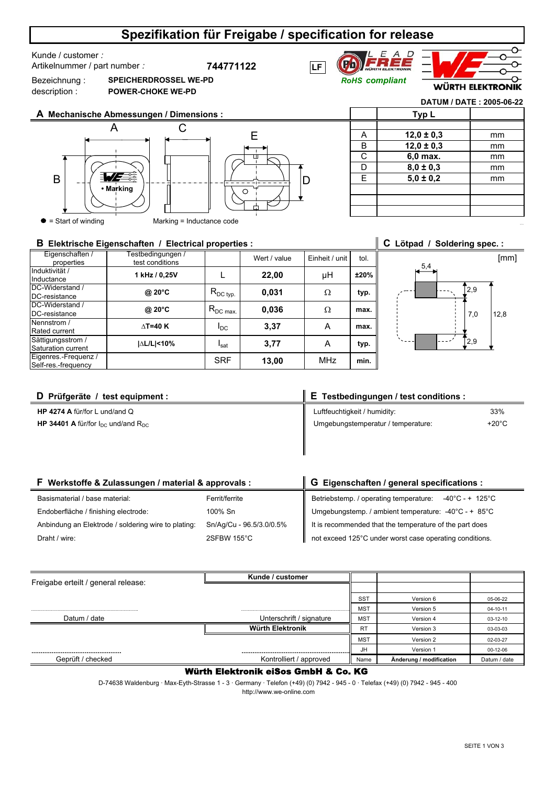### **Spezifikation für Freigabe / specification for release**

**744771122**

#### Kunde / customer *:*

Artikelnummer / part number *:*

Bezeichnung : description :

**SPEICHERDROSSEL WE-PD POWER-CHOKE WE-PD**





**DATUM / DATE : 2005-06-22**



# A mm **12,0 ± 0,3** B mm **12,0 ± 0,3 C 6,0 max. nm** D mm **8,0 ± 0,3** E mm **5,0 ± 0,2 Typ L**

#### **B Elektrische Eigenschaften / Electrical properties :**

| Eigenschaften /<br>properties               | Testbedingungen /<br>test conditions |                                           | Wert / value | Einheit / unit | tol. |
|---------------------------------------------|--------------------------------------|-------------------------------------------|--------------|----------------|------|
| Induktivität /<br>Inductance                | 1 kHz / 0,25V                        |                                           | 22,00        | μH             | ±20% |
| DC-Widerstand /<br>DC-resistance            | @ 20°C                               | $\mathsf{R}_{\mathsf{DC}\:\mathsf{typ.}}$ | 0,031        | Ω              | typ. |
| DC-Widerstand /<br>DC-resistance            | @ 20°C                               | $R_{DC \, max.}$                          | 0,036        | Ω              | max. |
| Nennstrom /<br>Rated current                | $\Lambda$ T=40 K                     | $I_{DC}$                                  | 3,37         | A              | max. |
| Sättigungsstrom /<br>Saturation current     | ∆L/L <10%                            | I <sub>sat</sub>                          | 3,77         | A              | typ. |
| Eigenres.-Frequenz /<br>Self-res.-frequency |                                      | <b>SRF</b>                                | 13,00        | <b>MHz</b>     | min. |





| D Prüfgeräte / test equipment :                                      | $\parallel$ E Testbedingungen / test conditions : |                 |  |  |
|----------------------------------------------------------------------|---------------------------------------------------|-----------------|--|--|
| HP 4274 A für/for L und/and Q                                        | Luftfeuchtigkeit / humidity:                      | 33%             |  |  |
| <b>HP 34401 A für/for <math>I_{DC}</math> und/and R<sub>DC</sub></b> | Umgebungstemperatur / temperature:                | $+20^{\circ}$ C |  |  |
|                                                                      |                                                   |                 |  |  |

| F Werkstoffe & Zulassungen / material & approvals : |                          | G Eigenschaften / general specifications :              |  |  |  |
|-----------------------------------------------------|--------------------------|---------------------------------------------------------|--|--|--|
| Basismaterial / base material:                      | Ferrit/ferrite           | Betriebstemp. / operating temperature: -40°C - + 125°C  |  |  |  |
| Endoberfläche / finishing electrode:                | 100% Sn                  | Umgebungstemp. / ambient temperature: -40°C - + 85°C    |  |  |  |
| Anbindung an Elektrode / soldering wire to plating: | Sn/Ag/Cu - 96.5/3.0/0.5% | It is recommended that the temperature of the part does |  |  |  |
| Draht / wire:                                       | 2SFBW 155°C              | not exceed 125°C under worst case operating conditions. |  |  |  |

| Kunde / customer         |            |                         |              |
|--------------------------|------------|-------------------------|--------------|
|                          |            |                         |              |
|                          | <b>SST</b> | Version 6               | 05-06-22     |
|                          | <b>MST</b> | Version 5               | 04-10-11     |
| Unterschrift / signature | <b>MST</b> | Version 4               | $03-12-10$   |
| Würth Elektronik         | <b>RT</b>  | Version 3               | 03-03-03     |
|                          | <b>MST</b> | Version 2               | 02-03-27     |
|                          | JH         | Version 1               | 00-12-06     |
| Kontrolliert / approved  | Name       | Änderung / modification | Datum / date |
|                          |            |                         |              |

#### Würth Elektronik eiSos GmbH & Co. KG

D-74638 Waldenburg · Max-Eyth-Strasse 1 - 3 · Germany · Telefon (+49) (0) 7942 - 945 - 0 · Telefax (+49) (0) 7942 - 945 - 400

http://www.we-online.com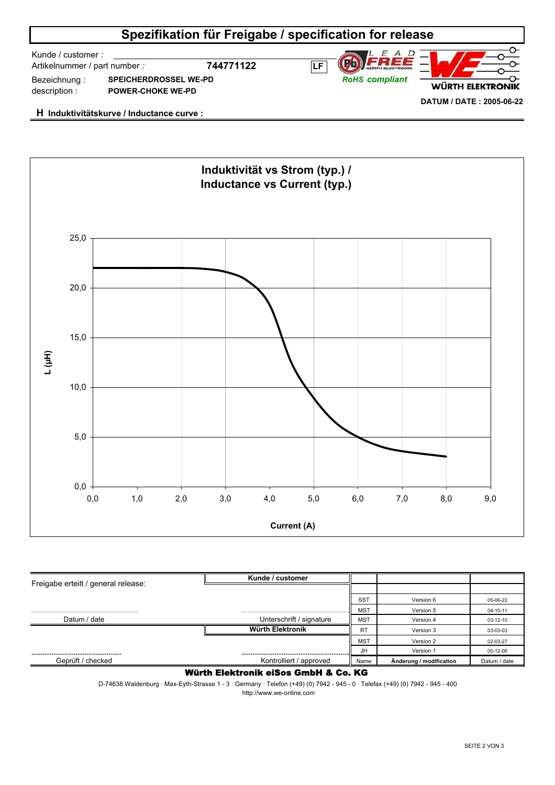## **Spezifikation für Freigabe / specification for release**

Kunde / customer *:* 

Bezeichnung : description :

Artikelnummer / part number *:* **744771122**





**H Induktivitätskurve / Inductance curve :**

**SPEICHERDROSSEL WE-PD POWER-CHOKE WE-PD**



| Freigabe erteilt / general release: | Kunde / customer         |            |                         |              |
|-------------------------------------|--------------------------|------------|-------------------------|--------------|
|                                     |                          |            |                         |              |
|                                     |                          | <b>SST</b> | Version 6               | 05-06-22     |
|                                     |                          | <b>MST</b> | Version 5               | 04-10-11     |
| Datum / date                        | Unterschrift / signature | <b>MST</b> | Version 4               | $03-12-10$   |
|                                     | Würth Elektronik         | <b>RT</b>  | Version 3               | 03-03-03     |
|                                     |                          | <b>MST</b> | Version 2               | 02-03-27     |
|                                     |                          | JH         | Version 1               | 00-12-06     |
| Geprüft / checked                   | Kontrolliert / approved  | Name       | Änderung / modification | Datum / date |
|                                     |                          |            |                         |              |

Würth Elektronik eiSos GmbH & Co. KG

D-74638 Waldenburg · Max-Eyth-Strasse 1 - 3 · Germany · Telefon (+49) (0) 7942 - 945 - 0 · Telefax (+49) (0) 7942 - 945 - 400 http://www.we-online.com